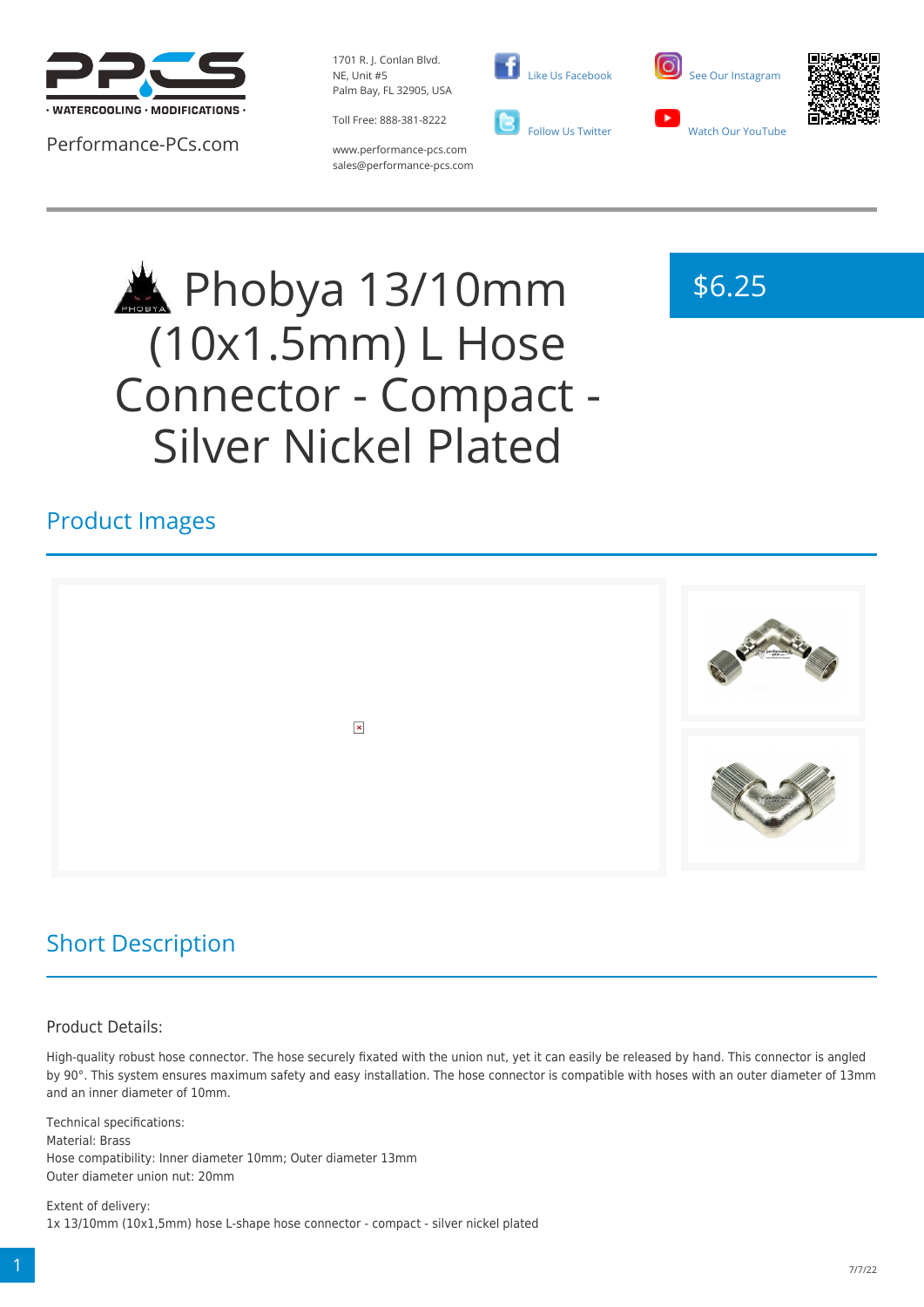

Performance-PCs.com

1701 R. J. Conlan Blvd. NE, Unit #5 Palm Bay, FL 32905, USA

Toll Free: 888-381-8222





www.performance-pcs.com sales@performance-pcs.com

# Phobya 13/10mm (10x1.5mm) L Hose Connector - Compact - Silver Nickel Plated



### Product Images



## Short Description

#### Product Details:

High-quality robust hose connector. The hose securely fixated with the union nut, yet it can easily be released by hand. This connector is angled by 90°. This system ensures maximum safety and easy installation. The hose connector is compatible with hoses with an outer diameter of 13mm and an inner diameter of 10mm.

Technical specifications: Material: Brass Hose compatibility: Inner diameter 10mm; Outer diameter 13mm Outer diameter union nut: 20mm

Extent of delivery: 1x 13/10mm (10x1,5mm) hose L-shape hose connector - compact - silver nickel plated